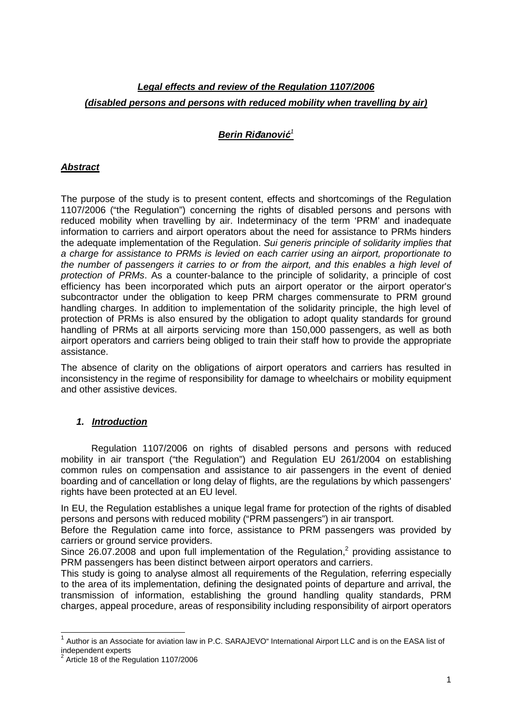# **Legal effects and review of the Regulation 1107/2006 (disabled persons and persons with reduced mobility when travelling by air)**

# **Berin Ri***đ***anovi***ć* 1

# **Abstract**

The purpose of the study is to present content, effects and shortcomings of the Regulation 1107/2006 ("the Regulation") concerning the rights of disabled persons and persons with reduced mobility when travelling by air. Indeterminacy of the term 'PRM' and inadequate information to carriers and airport operators about the need for assistance to PRMs hinders the adequate implementation of the Regulation. Sui generis principle of solidarity implies that a charge for assistance to PRMs is levied on each carrier using an airport, proportionate to the number of passengers it carries to or from the airport, and this enables a high level of protection of PRMs. As a counter-balance to the principle of solidarity, a principle of cost efficiency has been incorporated which puts an airport operator or the airport operator's subcontractor under the obligation to keep PRM charges commensurate to PRM ground handling charges. In addition to implementation of the solidarity principle, the high level of protection of PRMs is also ensured by the obligation to adopt quality standards for ground handling of PRMs at all airports servicing more than 150,000 passengers, as well as both airport operators and carriers being obliged to train their staff how to provide the appropriate assistance.

The absence of clarity on the obligations of airport operators and carriers has resulted in inconsistency in the regime of responsibility for damage to wheelchairs or mobility equipment and other assistive devices.

#### **1. Introduction**

Regulation 1107/2006 on rights of disabled persons and persons with reduced mobility in air transport ("the Regulation") and Regulation EU 261/2004 on establishing common rules on compensation and assistance to air passengers in the event of denied boarding and of cancellation or long delay of flights, are the regulations by which passengers' rights have been protected at an EU level.

In EU, the Regulation establishes a unique legal frame for protection of the rights of disabled persons and persons with reduced mobility ("PRM passengers") in air transport.

Before the Regulation came into force, assistance to PRM passengers was provided by carriers or ground service providers.

Since 26.07.2008 and upon full implementation of the Regulation,<sup>2</sup> providing assistance to PRM passengers has been distinct between airport operators and carriers.

This study is going to analyse almost all requirements of the Regulation, referring especially to the area of its implementation, defining the designated points of departure and arrival, the transmission of information, establishing the ground handling quality standards, PRM charges, appeal procedure, areas of responsibility including responsibility of airport operators

 1 Author is an Associate for aviation law in P.C. SARAJEVO" International Airport LLC and is on the EASA list of independent experts

 $2$  Article 18 of the Regulation 1107/2006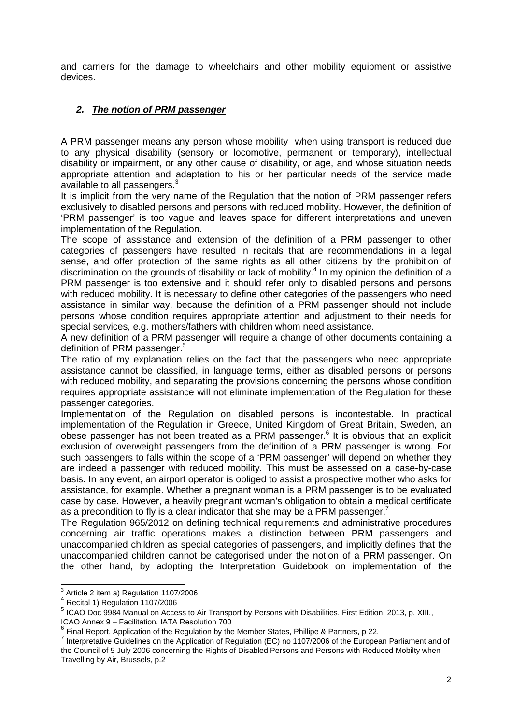and carriers for the damage to wheelchairs and other mobility equipment or assistive devices.

# **2. The notion of PRM passenger**

A PRM passenger means any person whose mobility when using transport is reduced due to any physical disability (sensory or locomotive, permanent or temporary), intellectual disability or impairment, or any other cause of disability, or age, and whose situation needs appropriate attention and adaptation to his or her particular needs of the service made available to all passengers. $3$ 

It is implicit from the very name of the Regulation that the notion of PRM passenger refers exclusively to disabled persons and persons with reduced mobility. However, the definition of 'PRM passenger' is too vague and leaves space for different interpretations and uneven implementation of the Regulation.

The scope of assistance and extension of the definition of a PRM passenger to other categories of passengers have resulted in recitals that are recommendations in a legal sense, and offer protection of the same rights as all other citizens by the prohibition of discrimination on the grounds of disability or lack of mobility. $4$  In my opinion the definition of a PRM passenger is too extensive and it should refer only to disabled persons and persons with reduced mobility. It is necessary to define other categories of the passengers who need assistance in similar way, because the definition of a PRM passenger should not include persons whose condition requires appropriate attention and adjustment to their needs for special services, e.g. mothers/fathers with children whom need assistance.

A new definition of a PRM passenger will require a change of other documents containing a definition of PRM passenger.<sup>5</sup>

The ratio of my explanation relies on the fact that the passengers who need appropriate assistance cannot be classified, in language terms, either as disabled persons or persons with reduced mobility, and separating the provisions concerning the persons whose condition requires appropriate assistance will not eliminate implementation of the Regulation for these passenger categories.

Implementation of the Regulation on disabled persons is incontestable. In practical implementation of the Regulation in Greece, United Kingdom of Great Britain, Sweden, an obese passenger has not been treated as a PRM passenger.<sup>6</sup> It is obvious that an explicit exclusion of overweight passengers from the definition of a PRM passenger is wrong. For such passengers to falls within the scope of a 'PRM passenger' will depend on whether they are indeed a passenger with reduced mobility. This must be assessed on a case-by-case basis. In any event, an airport operator is obliged to assist a prospective mother who asks for assistance, for example. Whether a pregnant woman is a PRM passenger is to be evaluated case by case. However, a heavily pregnant woman's obligation to obtain a medical certificate as a precondition to fly is a clear indicator that she may be a PRM passenger.<sup>7</sup>

The Regulation 965/2012 on defining technical requirements and administrative procedures concerning air traffic operations makes a distinction between PRM passengers and unaccompanied children as special categories of passengers, and implicitly defines that the unaccompanied children cannot be categorised under the notion of a PRM passenger. On the other hand, by adopting the Interpretation Guidebook on implementation of the

 3 Article 2 item a) Regulation 1107/2006

<sup>4</sup> Recital 1) Regulation 1107/2006

<sup>&</sup>lt;sup>5</sup> ICAO Doc 9984 Manual on Access to Air Transport by Persons with Disabilities, First Edition, 2013, p. XIII., ICAO Annex 9 – Facilitation, IATA Resolution 700

 $^6$  Final Report, Application of the Regulation by the Member States, Phillipe & Partners, p 22.

<sup>&</sup>lt;sup>7</sup> Interpretative Guidelines on the Application of Regulation (EC) no 1107/2006 of the European Parliament and of the Council of 5 July 2006 concerning the Rights of Disabled Persons and Persons with Reduced Mobilty when Travelling by Air, Brussels, p.2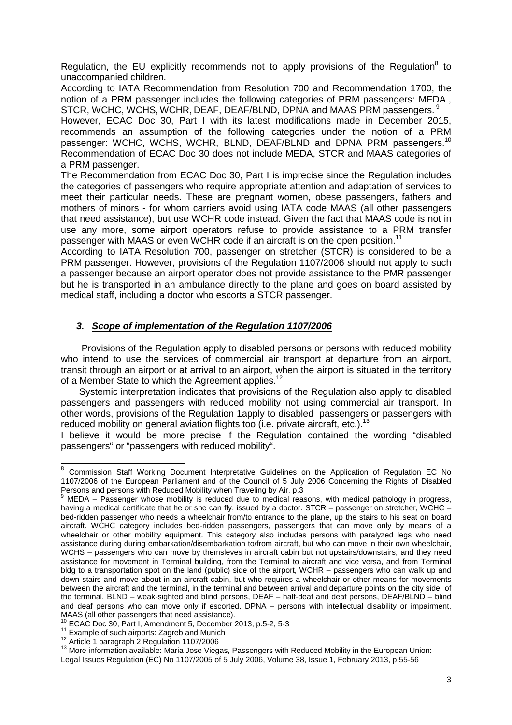Regulation, the EU explicitly recommends not to apply provisions of the Regulation $8$  to unaccompanied children.

According to IATA Recommendation from Resolution 700 and Recommendation 1700, the notion of a PRM passenger includes the following categories of PRM passengers: MEDA , STCR, WCHC, WCHS, WCHR, DEAF, DEAF/BLND, DPNA and MAAS PRM passengers. <sup>9</sup>

However, ECAC Doc 30, Part I with its latest modifications made in December 2015, recommends an assumption of the following categories under the notion of a PRM passenger: WCHC, WCHS, WCHR, BLND, DEAF/BLND and DPNA PRM passengers.<sup>10</sup> Recommendation of ECAC Doc 30 does not include MEDA, STCR and MAAS categories of a PRM passenger.

The Recommendation from ECAC Doc 30, Part I is imprecise since the Regulation includes the categories of passengers who require appropriate attention and adaptation of services to meet their particular needs. These are pregnant women, obese passengers, fathers and mothers of minors - for whom carriers avoid using IATA code MAAS (all other passengers that need assistance), but use WCHR code instead. Given the fact that MAAS code is not in use any more, some airport operators refuse to provide assistance to a PRM transfer passenger with MAAS or even WCHR code if an aircraft is on the open position.<sup>11</sup>

According to IATA Resolution 700, passenger on stretcher (STCR) is considered to be a PRM passenger. However, provisions of the Regulation 1107/2006 should not apply to such a passenger because an airport operator does not provide assistance to the PMR passenger but he is transported in an ambulance directly to the plane and goes on board assisted by medical staff, including a doctor who escorts a STCR passenger.

#### **3. Scope of implementation of the Regulation 1107/2006**

 Provisions of the Regulation apply to disabled persons or persons with reduced mobility who intend to use the services of commercial air transport at departure from an airport, transit through an airport or at arrival to an airport, when the airport is situated in the territory of a Member State to which the Agreement applies.<sup>12</sup>

 Systemic interpretation indicates that provisions of the Regulation also apply to disabled passengers and passengers with reduced mobility not using commercial air transport. In other words, provisions of the Regulation 1apply to disabled passengers or passengers with reduced mobility on general aviation flights too (i.e. private aircraft, etc.).<sup>13</sup>

I believe it would be more precise if the Regulation contained the wording "disabled passengers" or "passengers with reduced mobility".

**EXECON CONCORDENTS (EXECONCORDENTS)**<br><sup>8</sup> Commission Staff Working Document Interpretative Guidelines on the Application of Regulation EC No 1107/2006 of the European Parliament and of the Council of 5 July 2006 Concerning the Rights of Disabled Persons and persons with Reduced Mobility when Traveling by Air, p.3<br><sup>9</sup> MEDA Bessenger whose mobility is reduced due to modical reset

MEDA – Passenger whose mobility is reduced due to medical reasons, with medical pathology in progress, having a medical certificate that he or she can fly, issued by a doctor. STCR – passenger on stretcher, WCHC – bed-ridden passenger who needs a wheelchair from/to entrance to the plane, up the stairs to his seat on board aircraft. WCHC category includes bed-ridden passengers, passengers that can move only by means of a wheelchair or other mobility equipment. This category also includes persons with paralyzed legs who need assistance during during embarkation/disembarkation to/from aircraft, but who can move in their own wheelchair, WCHS – passengers who can move by themsleves in aircraft cabin but not upstairs/downstairs, and they need assistance for movement in Terminal building, from the Terminal to aircraft and vice versa, and from Terminal bldg to a transportation spot on the land (public) side of the airport, WCHR – passengers who can walk up and down stairs and move about in an aircraft cabin, but who requires a wheelchair or other means for movements between the aircraft and the terminal, in the terminal and between arrival and departure points on the city side of the terminal. BLND – weak-sighted and blind persons, DEAF – half-deaf and deaf persons, DEAF/BLND – blind and deaf persons who can move only if escorted, DPNA – persons with intellectual disability or impairment, MAAS (all other passengers that need assistance).

ECAC Doc 30, Part I, Amendment 5, December 2013, p.5-2, 5-3

<sup>11</sup> Example of such airports: Zagreb and Munich

<sup>12</sup> Article 1 paragraph 2 Regulation 1107/2006

<sup>&</sup>lt;sup>13</sup> More information available: Maria Jose Viegas, Passengers with Reduced Mobility in the European Union: Legal Issues Regulation (EC) No 1107/2005 of 5 July 2006, Volume 38, Issue 1, February 2013, p.55-56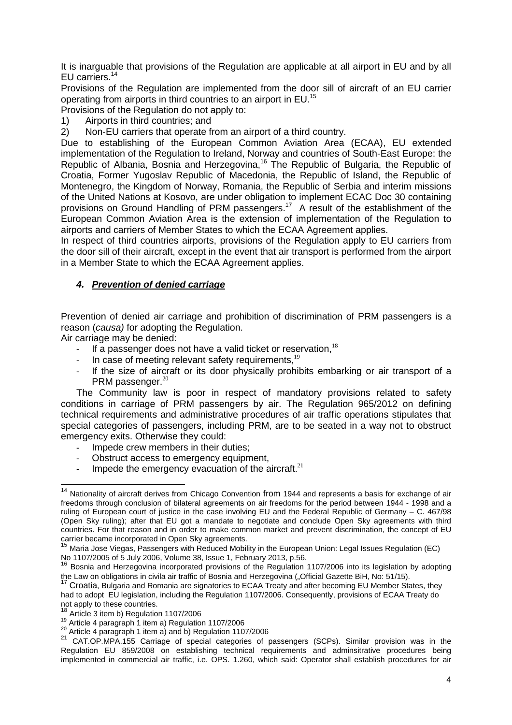It is inarguable that provisions of the Regulation are applicable at all airport in EU and by all EU carriers.<sup>14</sup>

Provisions of the Regulation are implemented from the door sill of aircraft of an EU carrier operating from airports in third countries to an airport in EU.<sup>15</sup>

Provisions of the Regulation do not apply to:

1) Airports in third countries; and

2) Non-EU carriers that operate from an airport of a third country.

Due to establishing of the European Common Aviation Area (ECAA), EU extended implementation of the Regulation to Ireland, Norway and countries of South-East Europe: the Republic of Albania, Bosnia and Herzegovina,<sup>16</sup> The Republic of Bulgaria, the Republic of Croatia, Former Yugoslav Republic of Macedonia, the Republic of Island, the Republic of Montenegro, the Kingdom of Norway, Romania, the Republic of Serbia and interim missions of the United Nations at Kosovo, are under obligation to implement ECAC Doc 30 containing provisions on Ground Handling of PRM passengers.<sup>17</sup> A result of the establishment of the European Common Aviation Area is the extension of implementation of the Regulation to airports and carriers of Member States to which the ECAA Agreement applies.

In respect of third countries airports, provisions of the Regulation apply to EU carriers from the door sill of their aircraft, except in the event that air transport is performed from the airport in a Member State to which the ECAA Agreement applies.

#### **4. Prevention of denied carriage**

Prevention of denied air carriage and prohibition of discrimination of PRM passengers is a reason (causa) for adopting the Regulation.

Air carriage may be denied:

 $\overline{a}$ 

- If a passenger does not have a valid ticket or reservation,  $18$
- In case of meeting relevant safety requirements, $19$
- If the size of aircraft or its door physically prohibits embarking or air transport of a PRM passenger.<sup>20</sup>

The Community law is poor in respect of mandatory provisions related to safety conditions in carriage of PRM passengers by air. The Regulation 965/2012 on defining technical requirements and administrative procedures of air traffic operations stipulates that special categories of passengers, including PRM, are to be seated in a way not to obstruct emergency exits. Otherwise they could:

- Impede crew members in their duties;
- Obstruct access to emergency equipment,
- Impede the emergency evacuation of the aircraft. $21$

<sup>&</sup>lt;sup>14</sup> Nationality of aircraft derives from Chicago Convention from 1944 and represents a basis for exchange of air freedoms through conclusion of bilateral agreements on air freedoms for the period between 1944 - 1998 and a ruling of European court of justice in the case involving EU and the Federal Republic of Germany – C. 467/98 (Open Sky ruling); after that EU got a mandate to negotiate and conclude Open Sky agreements with third countries. For that reason and in order to make common market and prevent discrimination, the concept of EU carrier became incorporated in Open Sky agreements.

<sup>&</sup>lt;sup>15</sup> Maria Jose Viegas, Passengers with Reduced Mobility in the European Union: Legal Issues Regulation (EC) No 1107/2005 of 5 July 2006, Volume 38, Issue 1, February 2013, p.56.

<sup>16</sup> Bosnia and Herzegovina incorporated provisions of the Regulation 1107/2006 into its legislation by adopting the Law on obligations in civila air traffic of Bosnia and Herzegovina ("Official Gazette BiH, No: 51/15).

 $17$  Croatia, Bulgaria and Romania are signatories to ECAA Treaty and after becoming EU Member States, they had to adopt EU legislation, including the Regulation 1107/2006. Consequently, provisions of ECAA Treaty do not apply to these countries.

Article 3 item b) Regulation 1107/2006

<sup>19</sup> Article 4 paragraph 1 item a) Regulation 1107/2006

<sup>20</sup> Article 4 paragraph 1 item a) and b) Regulation 1107/2006

<sup>21</sup> CAT.OP.MPA.155 Carriage of special categories of passengers (SCPs). Similar provision was in the Regulation EU 859/2008 on establishing technical requirements and adminsitrative procedures being implemented in commercial air traffic, i.e. OPS. 1.260, which said: Operator shall establish procedures for air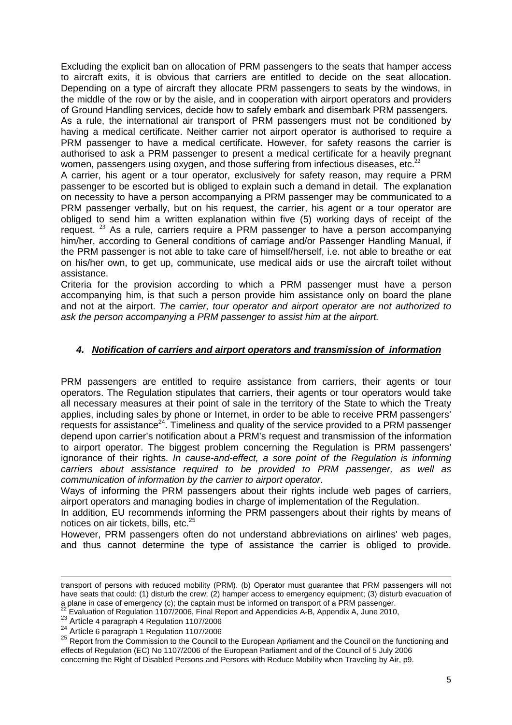Excluding the explicit ban on allocation of PRM passengers to the seats that hamper access to aircraft exits, it is obvious that carriers are entitled to decide on the seat allocation. Depending on a type of aircraft they allocate PRM passengers to seats by the windows, in the middle of the row or by the aisle, and in cooperation with airport operators and providers of Ground Handling services, decide how to safely embark and disembark PRM passengers.

As a rule, the international air transport of PRM passengers must not be conditioned by having a medical certificate. Neither carrier not airport operator is authorised to require a PRM passenger to have a medical certificate. However, for safety reasons the carrier is authorised to ask a PRM passenger to present a medical certificate for a heavily pregnant women, passengers using oxygen, and those suffering from infectious diseases, etc.<sup>2</sup>

A carrier, his agent or a tour operator, exclusively for safety reason, may require a PRM passenger to be escorted but is obliged to explain such a demand in detail. The explanation on necessity to have a person accompanying a PRM passenger may be communicated to a PRM passenger verbally, but on his request, the carrier, his agent or a tour operator are obliged to send him a written explanation within five (5) working days of receipt of the request.  $^{23}$  As a rule, carriers require a PRM passenger to have a person accompanying him/her, according to General conditions of carriage and/or Passenger Handling Manual, if the PRM passenger is not able to take care of himself/herself, i.e. not able to breathe or eat on his/her own, to get up, communicate, use medical aids or use the aircraft toilet without assistance.

Criteria for the provision according to which a PRM passenger must have a person accompanying him, is that such a person provide him assistance only on board the plane and not at the airport. The carrier, tour operator and airport operator are not authorized to ask the person accompanying a PRM passenger to assist him at the airport.

#### **4. Notification of carriers and airport operators and transmission of information**

PRM passengers are entitled to require assistance from carriers, their agents or tour operators. The Regulation stipulates that carriers, their agents or tour operators would take all necessary measures at their point of sale in the territory of the State to which the Treaty applies, including sales by phone or Internet, in order to be able to receive PRM passengers' requests for assistance<sup>24</sup>. Timeliness and quality of the service provided to a PRM passenger depend upon carrier's notification about a PRM's request and transmission of the information to airport operator. The biggest problem concerning the Regulation is PRM passengers' ignorance of their rights. In cause-and-effect, a sore point of the Regulation is informing carriers about assistance required to be provided to PRM passenger, as well as communication of information by the carrier to airport operator.

Ways of informing the PRM passengers about their rights include web pages of carriers, airport operators and managing bodies in charge of implementation of the Regulation.

In addition, EU recommends informing the PRM passengers about their rights by means of notices on air tickets, bills, etc.<sup>25</sup>

However, PRM passengers often do not understand abbreviations on airlines' web pages, and thus cannot determine the type of assistance the carrier is obliged to provide.

-

transport of persons with reduced mobility (PRM). (b) Operator must guarantee that PRM passengers will not have seats that could: (1) disturb the crew; (2) hamper access to emergency equipment; (3) disturb evacuation of a plane in case of emergency (c); the captain must be informed on transport of a PRM passenger.

<sup>22</sup> Evaluation of Regulation 1107/2006, Final Report and Appendicies A-B, Appendix A, June 2010,

<sup>23</sup> Article 4 paragraph 4 Regulation 1107/2006

<sup>24</sup> Article 6 paragraph 1 Regulation 1107/2006

<sup>&</sup>lt;sup>25</sup> Report from the Commission to the Council to the European Aprliament and the Council on the functioning and effects of Regulation (EC) No 1107/2006 of the European Parliament and of the Council of 5 July 2006 concerning the Right of Disabled Persons and Persons with Reduce Mobility when Traveling by Air, p9.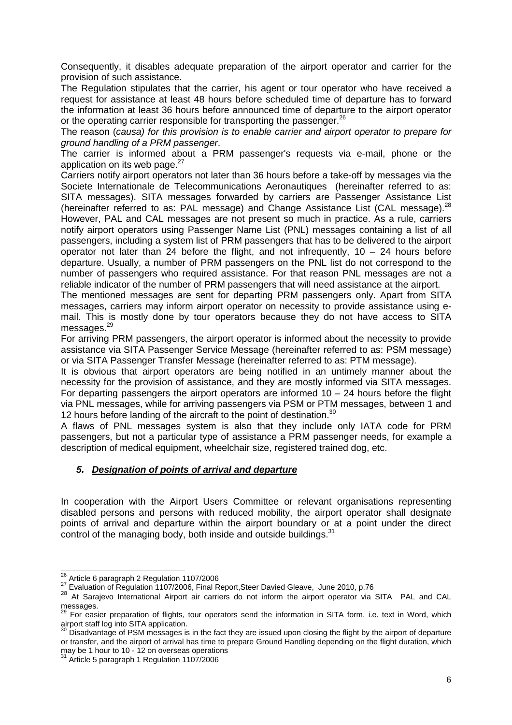Consequently, it disables adequate preparation of the airport operator and carrier for the provision of such assistance.

The Regulation stipulates that the carrier, his agent or tour operator who have received a request for assistance at least 48 hours before scheduled time of departure has to forward the information at least 36 hours before announced time of departure to the airport operator or the operating carrier responsible for transporting the passenger.<sup>26</sup>

The reason (causa) for this provision is to enable carrier and airport operator to prepare for ground handling of a PRM passenger.

The carrier is informed about a PRM passenger's requests via e-mail, phone or the application on its web page. $27$ 

Carriers notify airport operators not later than 36 hours before a take-off by messages via the Societe Internationale de Telecommunications Aeronautiques (hereinafter referred to as: SITA messages). SITA messages forwarded by carriers are Passenger Assistance List (hereinafter referred to as: PAL message) and Change Assistance List (CAL message).<sup>28</sup> However, PAL and CAL messages are not present so much in practice. As a rule, carriers notify airport operators using Passenger Name List (PNL) messages containing a list of all passengers, including a system list of PRM passengers that has to be delivered to the airport operator not later than 24 before the flight, and not infrequently,  $10 - 24$  hours before departure. Usually, a number of PRM passengers on the PNL list do not correspond to the number of passengers who required assistance. For that reason PNL messages are not a reliable indicator of the number of PRM passengers that will need assistance at the airport.

The mentioned messages are sent for departing PRM passengers only. Apart from SITA messages, carriers may inform airport operator on necessity to provide assistance using email. This is mostly done by tour operators because they do not have access to SITA messages.<sup>29</sup>

For arriving PRM passengers, the airport operator is informed about the necessity to provide assistance via SITA Passenger Service Message (hereinafter referred to as: PSM message) or via SITA Passenger Transfer Message (hereinafter referred to as: PTM message).

It is obvious that airport operators are being notified in an untimely manner about the necessity for the provision of assistance, and they are mostly informed via SITA messages. For departing passengers the airport operators are informed  $10 - 24$  hours before the flight via PNL messages, while for arriving passengers via PSM or PTM messages, between 1 and 12 hours before landing of the aircraft to the point of destination. $30$ 

A flaws of PNL messages system is also that they include only IATA code for PRM passengers, but not a particular type of assistance a PRM passenger needs, for example a description of medical equipment, wheelchair size, registered trained dog, etc.

#### **5. Designation of points of arrival and departure**

In cooperation with the Airport Users Committee or relevant organisations representing disabled persons and persons with reduced mobility, the airport operator shall designate points of arrival and departure within the airport boundary or at a point under the direct control of the managing body, both inside and outside buildings. $31$ 

 $\overline{a}$  $26$  Article 6 paragraph 2 Regulation 1107/2006

<sup>27</sup> Evaluation of Regulation 1107/2006, Final Report,Steer Davied Gleave, June 2010, p.76

<sup>28</sup> At Sarajevo International Airport air carriers do not inform the airport operator via SITA PAL and CAL messages.

<sup>&</sup>lt;sup>29</sup> For easier preparation of flights, tour operators send the information in SITA form, i.e. text in Word, which airport staff log into SITA application. 30 Disadvantage of PSM messages is in the fact they are issued upon closing the flight by the airport of departure<br><sup>30</sup> Disadvantage of PSM messages is in the fact they are issued upon closing the flight by the airport of

or transfer, and the airport of arrival has time to prepare Ground Handling depending on the flight duration, which may be 1 hour to 10 - 12 on overseas operations

<sup>&</sup>lt;sup>31</sup> Article 5 paragraph 1 Regulation 1107/2006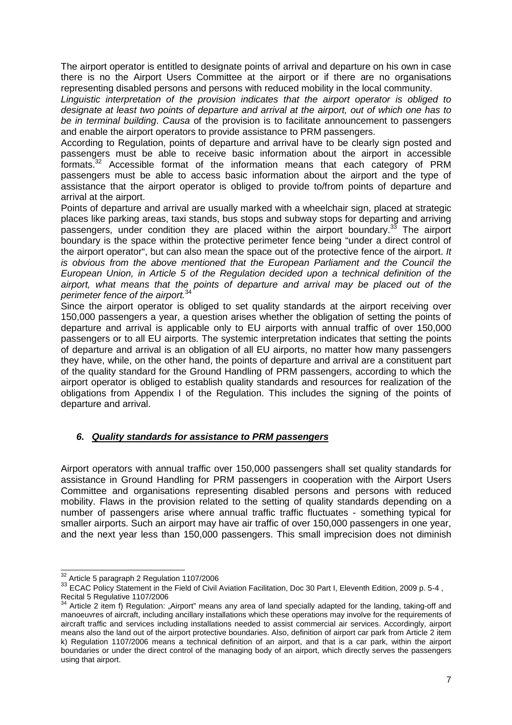The airport operator is entitled to designate points of arrival and departure on his own in case there is no the Airport Users Committee at the airport or if there are no organisations representing disabled persons and persons with reduced mobility in the local community.

Linguistic interpretation of the provision indicates that the airport operator is obliged to designate at least two points of departure and arrival at the airport, out of which one has to be in terminal building. Causa of the provision is to facilitate announcement to passengers and enable the airport operators to provide assistance to PRM passengers.

According to Regulation, points of departure and arrival have to be clearly sign posted and passengers must be able to receive basic information about the airport in accessible formats.<sup>32</sup> Accessible format of the information means that each category of PRM passengers must be able to access basic information about the airport and the type of assistance that the airport operator is obliged to provide to/from points of departure and arrival at the airport.

Points of departure and arrival are usually marked with a wheelchair sign, placed at strategic places like parking areas, taxi stands, bus stops and subway stops for departing and arriving passengers, under condition they are placed within the airport boundary.<sup>33</sup> The airport boundary is the space within the protective perimeter fence being "under a direct control of the airport operator", but can also mean the space out of the protective fence of the airport. It is obvious from the above mentioned that the European Parliament and the Council the European Union, in Article 5 of the Regulation decided upon a technical definition of the airport, what means that the points of departure and arrival may be placed out of the perimeter fence of the airport.<sup>34</sup>

Since the airport operator is obliged to set quality standards at the airport receiving over 150,000 passengers a year, a question arises whether the obligation of setting the points of departure and arrival is applicable only to EU airports with annual traffic of over 150,000 passengers or to all EU airports. The systemic interpretation indicates that setting the points of departure and arrival is an obligation of all EU airports, no matter how many passengers they have, while, on the other hand, the points of departure and arrival are a constituent part of the quality standard for the Ground Handling of PRM passengers, according to which the airport operator is obliged to establish quality standards and resources for realization of the obligations from Appendix I of the Regulation. This includes the signing of the points of departure and arrival.

# **6. Quality standards for assistance to PRM passengers**

Airport operators with annual traffic over 150,000 passengers shall set quality standards for assistance in Ground Handling for PRM passengers in cooperation with the Airport Users Committee and organisations representing disabled persons and persons with reduced mobility. Flaws in the provision related to the setting of quality standards depending on a number of passengers arise where annual traffic traffic fluctuates - something typical for smaller airports. Such an airport may have air traffic of over 150,000 passengers in one year, and the next year less than 150,000 passengers. This small imprecision does not diminish

 $32$  Article 5 paragraph 2 Regulation 1107/2006

<sup>33</sup> ECAC Policy Statement in the Field of Civil Aviation Facilitation, Doc 30 Part I, Eleventh Edition, 2009 p. 5-4, Recital 5 Regulative 1107/2006

 $34$  Article 2 item f) Regulation: "Airport" means any area of land specially adapted for the landing, taking-off and manoeuvres of aircraft, including ancillary installations which these operations may involve for the requirements of aircraft traffic and services including installations needed to assist commercial air services. Accordingly, airport means also the land out of the airport protective boundaries. Also, definition of airport car park from Article 2 item k) Regulation 1107/2006 means a technical definition of an airport, and that is a car park, within the airport boundaries or under the direct control of the managing body of an airport, which directly serves the passengers using that airport.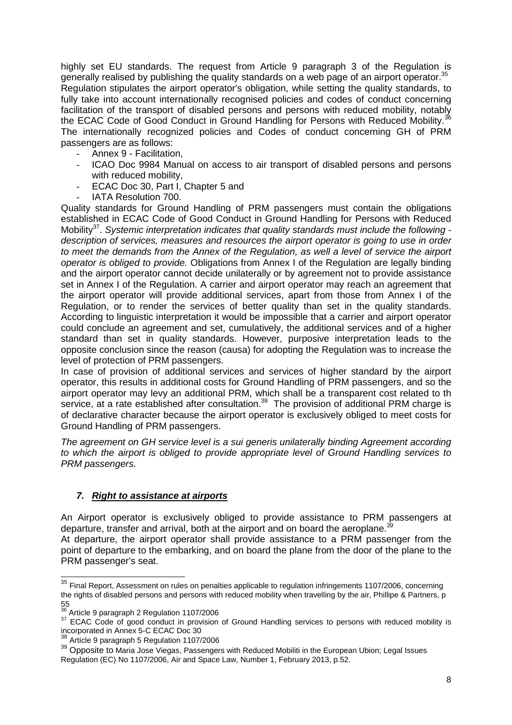highly set EU standards. The request from Article 9 paragraph 3 of the Regulation is generally realised by publishing the quality standards on a web page of an airport operator.<sup>35</sup> Regulation stipulates the airport operator's obligation, while setting the quality standards, to fully take into account internationally recognised policies and codes of conduct concerning facilitation of the transport of disabled persons and persons with reduced mobility, notably the ECAC Code of Good Conduct in Ground Handling for Persons with Reduced Mobility.<sup>36</sup> The internationally recognized policies and Codes of conduct concerning GH of PRM passengers are as follows:

- Annex 9 Facilitation,
- ICAO Doc 9984 Manual on access to air transport of disabled persons and persons with reduced mobility.
- ECAC Doc 30, Part I, Chapter 5 and
- IATA Resolution 700.

Quality standards for Ground Handling of PRM passengers must contain the obligations established in ECAC Code of Good Conduct in Ground Handling for Persons with Reduced Mobility<sup>37</sup>. Systemic interpretation indicates that quality standards must include the following description of services, measures and resources the airport operator is going to use in order to meet the demands from the Annex of the Regulation, as well a level of service the airport operator is obliged to provide. Obligations from Annex I of the Regulation are legally binding and the airport operator cannot decide unilaterally or by agreement not to provide assistance set in Annex I of the Regulation. A carrier and airport operator may reach an agreement that the airport operator will provide additional services, apart from those from Annex I of the Regulation, or to render the services of better quality than set in the quality standards. According to linguistic interpretation it would be impossible that a carrier and airport operator could conclude an agreement and set, cumulatively, the additional services and of a higher standard than set in quality standards. However, purposive interpretation leads to the opposite conclusion since the reason (causa) for adopting the Regulation was to increase the level of protection of PRM passengers.

In case of provision of additional services and services of higher standard by the airport operator, this results in additional costs for Ground Handling of PRM passengers, and so the airport operator may levy an additional PRM, which shall be a transparent cost related to th service, at a rate established after consultation.<sup>38</sup> The provision of additional PRM charge is of declarative character because the airport operator is exclusively obliged to meet costs for Ground Handling of PRM passengers.

The agreement on GH service level is a sui generis unilaterally binding Agreement according to which the airport is obliged to provide appropriate level of Ground Handling services to PRM passengers.

# **7. Right to assistance at airports**

An Airport operator is exclusively obliged to provide assistance to PRM passengers at departure, transfer and arrival, both at the airport and on board the aeroplane.

At departure, the airport operator shall provide assistance to a PRM passenger from the point of departure to the embarking, and on board the plane from the door of the plane to the PRM passenger's seat.

 $35$  Final Report, Assessment on rules on penalties applicable to regulation infringements 1107/2006, concerning the rights of disabled persons and persons with reduced mobility when travelling by the air, Phillipe & Partners, p  $\frac{55}{36}$ 

<sup>36</sup> Article 9 paragraph 2 Regulation 1107/2006

<sup>&</sup>lt;sup>37</sup> ECAC Code of good conduct in provision of Ground Handling services to persons with reduced mobility is incorporated in Annex 5-C ECAC Doc 30

<sup>38</sup> Article 9 paragraph 5 Regulation 1107/2006

<sup>39</sup> Opposite to Maria Jose Viegas, Passengers with Reduced Mobiliti in the European Ubion; Legal Issues Regulation (EC) No 1107/2006, Air and Space Law, Number 1, February 2013, p.52.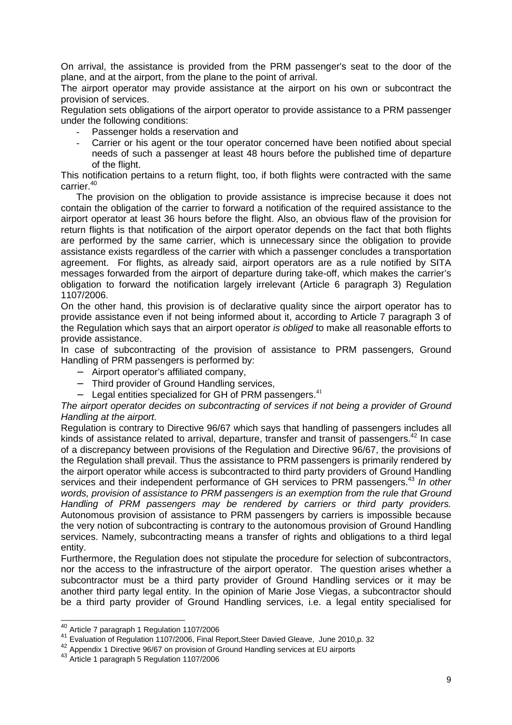On arrival, the assistance is provided from the PRM passenger's seat to the door of the plane, and at the airport, from the plane to the point of arrival.

The airport operator may provide assistance at the airport on his own or subcontract the provision of services.

Regulation sets obligations of the airport operator to provide assistance to a PRM passenger under the following conditions:

- Passenger holds a reservation and
- Carrier or his agent or the tour operator concerned have been notified about special needs of such a passenger at least 48 hours before the published time of departure of the flight.

This notification pertains to a return flight, too, if both flights were contracted with the same carrier.<sup>40</sup>

The provision on the obligation to provide assistance is imprecise because it does not contain the obligation of the carrier to forward a notification of the required assistance to the airport operator at least 36 hours before the flight. Also, an obvious flaw of the provision for return flights is that notification of the airport operator depends on the fact that both flights are performed by the same carrier, which is unnecessary since the obligation to provide assistance exists regardless of the carrier with which a passenger concludes a transportation agreement. For flights, as already said, airport operators are as a rule notified by SITA messages forwarded from the airport of departure during take-off, which makes the carrier's obligation to forward the notification largely irrelevant (Article 6 paragraph 3) Regulation 1107/2006.

On the other hand, this provision is of declarative quality since the airport operator has to provide assistance even if not being informed about it, according to Article 7 paragraph 3 of the Regulation which says that an airport operator is obliged to make all reasonable efforts to provide assistance.

In case of subcontracting of the provision of assistance to PRM passengers, Ground Handling of PRM passengers is performed by:

- − Airport operator's affiliated company,
- − Third provider of Ground Handling services,
- − Legal entities specialized for GH of PRM passengers.<sup>41</sup>

#### The airport operator decides on subcontracting of services if not being a provider of Ground Handling at the airport.

Regulation is contrary to Directive 96/67 which says that handling of passengers includes all kinds of assistance related to arrival, departure, transfer and transit of passengers.<sup>42</sup> In case of a discrepancy between provisions of the Regulation and Directive 96/67, the provisions of the Regulation shall prevail. Thus the assistance to PRM passengers is primarily rendered by the airport operator while access is subcontracted to third party providers of Ground Handling services and their independent performance of GH services to PRM passengers.<sup>43</sup> In other words, provision of assistance to PRM passengers is an exemption from the rule that Ground Handling of PRM passengers may be rendered by carriers or third party providers. Autonomous provision of assistance to PRM passengers by carriers is impossible because the very notion of subcontracting is contrary to the autonomous provision of Ground Handling services. Namely, subcontracting means a transfer of rights and obligations to a third legal entity.

Furthermore, the Regulation does not stipulate the procedure for selection of subcontractors, nor the access to the infrastructure of the airport operator. The question arises whether a subcontractor must be a third party provider of Ground Handling services or it may be another third party legal entity. In the opinion of Marie Jose Viegas, a subcontractor should be a third party provider of Ground Handling services, i.e. a legal entity specialised for

j

 $^{40}$  Article 7 paragraph 1 Regulation 1107/2006

<sup>41</sup> Evaluation of Regulation 1107/2006, Final Report,Steer Davied Gleave, June 2010,p. 32

<sup>42</sup> Appendix 1 Directive 96/67 on provision of Ground Handling services at EU airports

<sup>43</sup> Article 1 paragraph 5 Regulation 1107/2006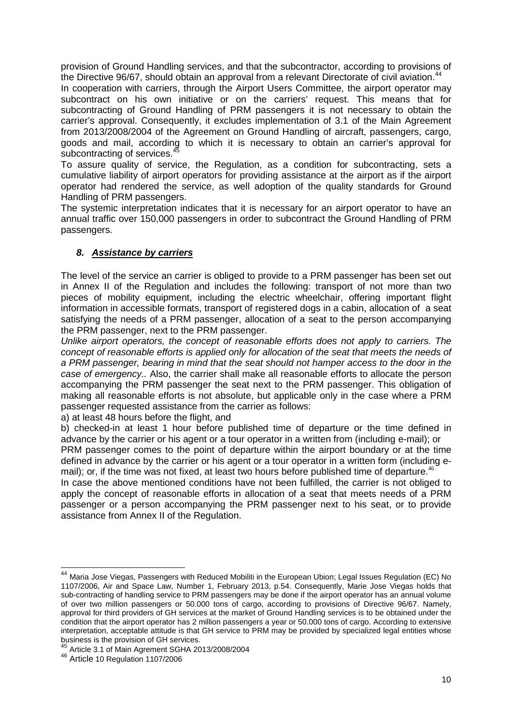provision of Ground Handling services, and that the subcontractor, according to provisions of the Directive 96/67, should obtain an approval from a relevant Directorate of civil aviation.<sup>4</sup>

In cooperation with carriers, through the Airport Users Committee, the airport operator may subcontract on his own initiative or on the carriers' request. This means that for subcontracting of Ground Handling of PRM passengers it is not necessary to obtain the carrier's approval. Consequently, it excludes implementation of 3.1 of the Main Agreement from 2013/2008/2004 of the Agreement on Ground Handling of aircraft, passengers, cargo, goods and mail, according to which it is necessary to obtain an carrier's approval for subcontracting of services.<sup>4</sup>

To assure quality of service, the Regulation, as a condition for subcontracting, sets a cumulative liability of airport operators for providing assistance at the airport as if the airport operator had rendered the service, as well adoption of the quality standards for Ground Handling of PRM passengers.

The systemic interpretation indicates that it is necessary for an airport operator to have an annual traffic over 150,000 passengers in order to subcontract the Ground Handling of PRM passengers.

#### **8. Assistance by carriers**

The level of the service an carrier is obliged to provide to a PRM passenger has been set out in Annex II of the Regulation and includes the following: transport of not more than two pieces of mobility equipment, including the electric wheelchair, offering important flight information in accessible formats, transport of registered dogs in a cabin, allocation of a seat satisfying the needs of a PRM passenger, allocation of a seat to the person accompanying the PRM passenger, next to the PRM passenger.

Unlike airport operators, the concept of reasonable efforts does not apply to carriers. The concept of reasonable efforts is applied only for allocation of the seat that meets the needs of a PRM passenger, bearing in mind that the seat should not hamper access to the door in the case of emergency.. Also, the carrier shall make all reasonable efforts to allocate the person accompanying the PRM passenger the seat next to the PRM passenger. This obligation of making all reasonable efforts is not absolute, but applicable only in the case where a PRM passenger requested assistance from the carrier as follows:

a) at least 48 hours before the flight, and

b) checked-in at least 1 hour before published time of departure or the time defined in advance by the carrier or his agent or a tour operator in a written from (including e-mail); or PRM passenger comes to the point of departure within the airport boundary or at the time defined in advance by the carrier or his agent or a tour operator in a written form (including e-

mail); or, if the time was not fixed, at least two hours before published time of departure.<sup>46</sup> In case the above mentioned conditions have not been fulfilled, the carrier is not obliged to apply the concept of reasonable efforts in allocation of a seat that meets needs of a PRM passenger or a person accompanying the PRM passenger next to his seat, or to provide assistance from Annex II of the Regulation.

l

<sup>&</sup>lt;sup>44</sup> Maria Jose Viegas, Passengers with Reduced Mobiliti in the European Ubion; Legal Issues Regulation (EC) No 1107/2006, Air and Space Law, Number 1, February 2013, p.54. Consequently, Marie Jose Viegas holds that sub-contracting of handling service to PRM passengers may be done if the airport operator has an annual volume of over two million passengers or 50.000 tons of cargo, according to provisions of Directive 96/67. Namely, approval for third providers of GH services at the market of Ground Handling services is to be obtained under the condition that the airport operator has 2 million passengers a year or 50.000 tons of cargo. According to extensive interpretation, acceptable attitude is that GH service to PRM may be provided by specialized legal entities whose business is the provision of GH services.

 $\overline{6}$  Article 3.1 of Main Agrement SGHA 2013/2008/2004

<sup>46</sup> Article 10 Regulation 1107/2006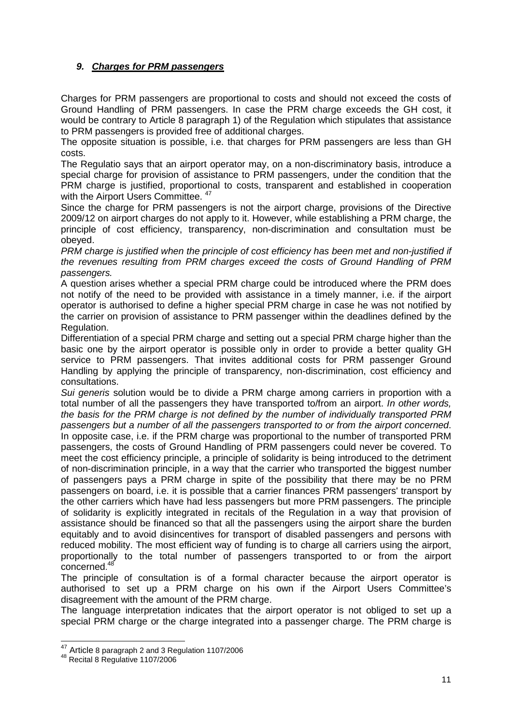# **9. Charges for PRM passengers**

Charges for PRM passengers are proportional to costs and should not exceed the costs of Ground Handling of PRM passengers. In case the PRM charge exceeds the GH cost, it would be contrary to Article 8 paragraph 1) of the Regulation which stipulates that assistance to PRM passengers is provided free of additional charges.

The opposite situation is possible, i.e. that charges for PRM passengers are less than GH costs.

The Regulatio says that an airport operator may, on a non-discriminatory basis, introduce a special charge for provision of assistance to PRM passengers, under the condition that the PRM charge is justified, proportional to costs, transparent and established in cooperation with the Airport Users Committee. <sup>47</sup>

Since the charge for PRM passengers is not the airport charge, provisions of the Directive 2009/12 on airport charges do not apply to it. However, while establishing a PRM charge, the principle of cost efficiency, transparency, non-discrimination and consultation must be obeyed.

PRM charge is justified when the principle of cost efficiency has been met and non-justified if the revenues resulting from PRM charges exceed the costs of Ground Handling of PRM passengers.

A question arises whether a special PRM charge could be introduced where the PRM does not notify of the need to be provided with assistance in a timely manner, i.e. if the airport operator is authorised to define a higher special PRM charge in case he was not notified by the carrier on provision of assistance to PRM passenger within the deadlines defined by the Regulation.

Differentiation of a special PRM charge and setting out a special PRM charge higher than the basic one by the airport operator is possible only in order to provide a better quality GH service to PRM passengers. That invites additional costs for PRM passenger Ground Handling by applying the principle of transparency, non-discrimination, cost efficiency and consultations.

Sui generis solution would be to divide a PRM charge among carriers in proportion with a total number of all the passengers they have transported to/from an airport. In other words, the basis for the PRM charge is not defined by the number of individually transported PRM passengers but a number of all the passengers transported to or from the airport concerned. In opposite case, i.e. if the PRM charge was proportional to the number of transported PRM passengers, the costs of Ground Handling of PRM passengers could never be covered. To meet the cost efficiency principle, a principle of solidarity is being introduced to the detriment of non-discrimination principle, in a way that the carrier who transported the biggest number of passengers pays a PRM charge in spite of the possibility that there may be no PRM passengers on board, i.e. it is possible that a carrier finances PRM passengers' transport by the other carriers which have had less passengers but more PRM passengers. The principle of solidarity is explicitly integrated in recitals of the Regulation in a way that provision of assistance should be financed so that all the passengers using the airport share the burden equitably and to avoid disincentives for transport of disabled passengers and persons with reduced mobility. The most efficient way of funding is to charge all carriers using the airport, proportionally to the total number of passengers transported to or from the airport concerned. 48

The principle of consultation is of a formal character because the airport operator is authorised to set up a PRM charge on his own if the Airport Users Committee's disagreement with the amount of the PRM charge.

The language interpretation indicates that the airport operator is not obliged to set up a special PRM charge or the charge integrated into a passenger charge. The PRM charge is

 $^{47}$  Article 8 paragraph 2 and 3 Regulation 1107/2006

<sup>48</sup> Recital 8 Regulative 1107/2006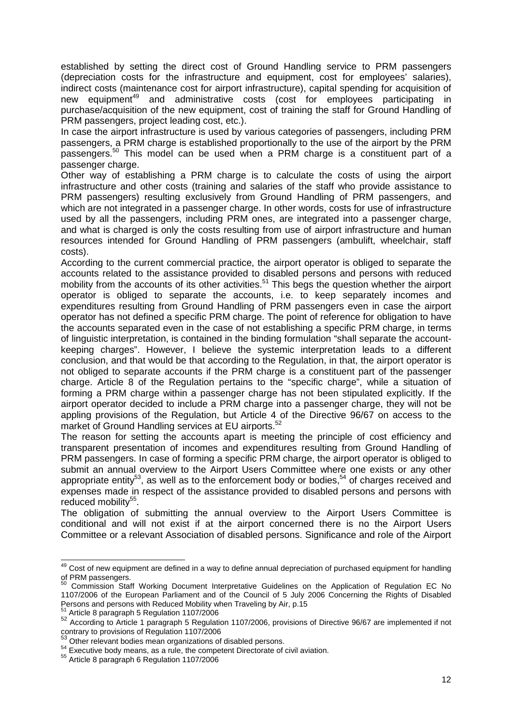established by setting the direct cost of Ground Handling service to PRM passengers (depreciation costs for the infrastructure and equipment, cost for employees' salaries), indirect costs (maintenance cost for airport infrastructure), capital spending for acquisition of new equipment<sup>49</sup> and administrative costs (cost for employees participating in purchase/acquisition of the new equipment, cost of training the staff for Ground Handling of PRM passengers, project leading cost, etc.).

In case the airport infrastructure is used by various categories of passengers, including PRM passengers, a PRM charge is established proportionally to the use of the airport by the PRM passengers.<sup>50</sup> This model can be used when a PRM charge is a constituent part of a passenger charge.

Other way of establishing a PRM charge is to calculate the costs of using the airport infrastructure and other costs (training and salaries of the staff who provide assistance to PRM passengers) resulting exclusively from Ground Handling of PRM passengers, and which are not integrated in a passenger charge. In other words, costs for use of infrastructure used by all the passengers, including PRM ones, are integrated into a passenger charge, and what is charged is only the costs resulting from use of airport infrastructure and human resources intended for Ground Handling of PRM passengers (ambulift, wheelchair, staff costs).

According to the current commercial practice, the airport operator is obliged to separate the accounts related to the assistance provided to disabled persons and persons with reduced mobility from the accounts of its other activities.<sup>51</sup> This begs the question whether the airport operator is obliged to separate the accounts, i.e. to keep separately incomes and expenditures resulting from Ground Handling of PRM passengers even in case the airport operator has not defined a specific PRM charge. The point of reference for obligation to have the accounts separated even in the case of not establishing a specific PRM charge, in terms of linguistic interpretation, is contained in the binding formulation "shall separate the accountkeeping charges". However, I believe the systemic interpretation leads to a different conclusion, and that would be that according to the Regulation, in that, the airport operator is not obliged to separate accounts if the PRM charge is a constituent part of the passenger charge. Article 8 of the Regulation pertains to the "specific charge", while a situation of forming a PRM charge within a passenger charge has not been stipulated explicitly. If the airport operator decided to include a PRM charge into a passenger charge, they will not be appling provisions of the Regulation, but Article 4 of the Directive 96/67 on access to the market of Ground Handling services at EU airports.<sup>52</sup>

The reason for setting the accounts apart is meeting the principle of cost efficiency and transparent presentation of incomes and expenditures resulting from Ground Handling of PRM passengers. In case of forming a specific PRM charge, the airport operator is obliged to submit an annual overview to the Airport Users Committee where one exists or any other appropriate entity<sup>53</sup>, as well as to the enforcement body or bodies,<sup>54</sup> of charges received and expenses made in respect of the assistance provided to disabled persons and persons with reduced mobility<sup>55</sup>.

The obligation of submitting the annual overview to the Airport Users Committee is conditional and will not exist if at the airport concerned there is no the Airport Users Committee or a relevant Association of disabled persons. Significance and role of the Airport

j

<sup>&</sup>lt;sup>49</sup> Cost of new equipment are defined in a way to define annual depreciation of purchased equipment for handling of PRM passengers.

<sup>50</sup> Commission Staff Working Document Interpretative Guidelines on the Application of Regulation EC No 1107/2006 of the European Parliament and of the Council of 5 July 2006 Concerning the Rights of Disabled Persons and persons with Reduced Mobility when Traveling by Air, p.15

<sup>51</sup> Article 8 paragraph 5 Regulation 1107/2006

<sup>52</sup> According to Article 1 paragraph 5 Regulation 1107/2006, provisions of Directive 96/67 are implemented if not contrary to provisions of Regulation 1107/2006

<sup>&</sup>lt;sup>53</sup> Other relevant bodies mean organizations of disabled persons.

<sup>&</sup>lt;sup>54</sup> Executive body means, as a rule, the competent Directorate of civil aviation.

<sup>55</sup> Article 8 paragraph 6 Regulation 1107/2006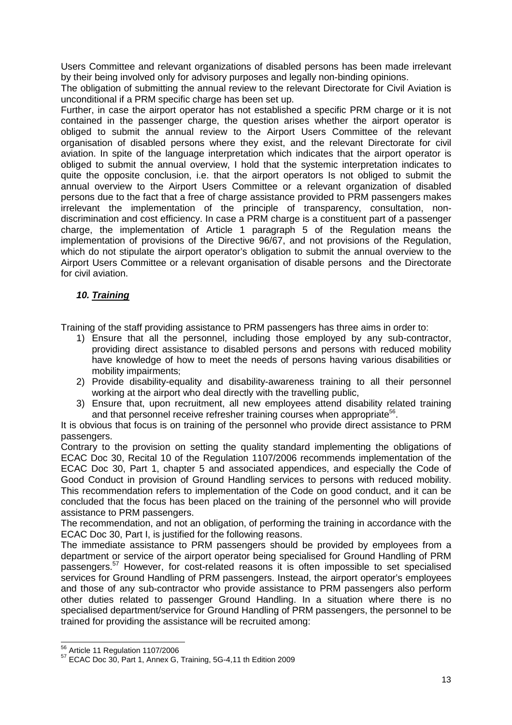Users Committee and relevant organizations of disabled persons has been made irrelevant by their being involved only for advisory purposes and legally non-binding opinions.

The obligation of submitting the annual review to the relevant Directorate for Civil Aviation is unconditional if a PRM specific charge has been set up.

Further, in case the airport operator has not established a specific PRM charge or it is not contained in the passenger charge, the question arises whether the airport operator is obliged to submit the annual review to the Airport Users Committee of the relevant organisation of disabled persons where they exist, and the relevant Directorate for civil aviation. In spite of the language interpretation which indicates that the airport operator is obliged to submit the annual overview, I hold that the systemic interpretation indicates to quite the opposite conclusion, i.e. that the airport operators Is not obliged to submit the annual overview to the Airport Users Committee or a relevant organization of disabled persons due to the fact that a free of charge assistance provided to PRM passengers makes irrelevant the implementation of the principle of transparency, consultation, nondiscrimination and cost efficiency. In case a PRM charge is a constituent part of a passenger charge, the implementation of Article 1 paragraph 5 of the Regulation means the implementation of provisions of the Directive 96/67, and not provisions of the Regulation, which do not stipulate the airport operator's obligation to submit the annual overview to the Airport Users Committee or a relevant organisation of disable persons and the Directorate for civil aviation.

# **10. Training**

Training of the staff providing assistance to PRM passengers has three aims in order to:

- 1) Ensure that all the personnel, including those employed by any sub-contractor, providing direct assistance to disabled persons and persons with reduced mobility have knowledge of how to meet the needs of persons having various disabilities or mobility impairments;
- 2) Provide disability-equality and disability-awareness training to all their personnel working at the airport who deal directly with the travelling public,
- 3) Ensure that, upon recruitment, all new employees attend disability related training and that personnel receive refresher training courses when appropriate<sup>56</sup>.

It is obvious that focus is on training of the personnel who provide direct assistance to PRM passengers.

Contrary to the provision on setting the quality standard implementing the obligations of ECAC Doc 30, Recital 10 of the Regulation 1107/2006 recommends implementation of the ECAC Doc 30, Part 1, chapter 5 and associated appendices, and especially the Code of Good Conduct in provision of Ground Handling services to persons with reduced mobility. This recommendation refers to implementation of the Code on good conduct, and it can be concluded that the focus has been placed on the training of the personnel who will provide assistance to PRM passengers.

The recommendation, and not an obligation, of performing the training in accordance with the ECAC Doc 30, Part I, is justified for the following reasons.

The immediate assistance to PRM passengers should be provided by employees from a department or service of the airport operator being specialised for Ground Handling of PRM passengers.<sup>57</sup> However, for cost-related reasons it is often impossible to set specialised services for Ground Handling of PRM passengers. Instead, the airport operator's employees and those of any sub-contractor who provide assistance to PRM passengers also perform other duties related to passenger Ground Handling. In a situation where there is no specialised department/service for Ground Handling of PRM passengers, the personnel to be trained for providing the assistance will be recruited among:

 $\overline{a}$ <sup>56</sup> Article 11 Regulation 1107/2006

<sup>57</sup> ECAC Doc 30, Part 1, Annex G, Training, 5G-4,11 th Edition 2009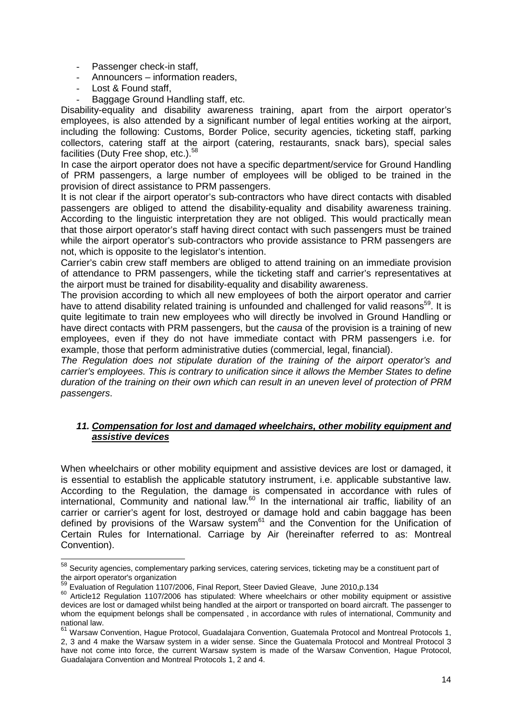- Passenger check-in staff,
- Announcers information readers,
- Lost & Found staff,

 $\overline{a}$ 

Baggage Ground Handling staff, etc.

Disability-equality and disability awareness training, apart from the airport operator's employees, is also attended by a significant number of legal entities working at the airport, including the following: Customs, Border Police, security agencies, ticketing staff, parking collectors, catering staff at the airport (catering, restaurants, snack bars), special sales facilities (Duty Free shop, etc.).<sup>58</sup>

In case the airport operator does not have a specific department/service for Ground Handling of PRM passengers, a large number of employees will be obliged to be trained in the provision of direct assistance to PRM passengers.

It is not clear if the airport operator's sub-contractors who have direct contacts with disabled passengers are obliged to attend the disability-equality and disability awareness training. According to the linguistic interpretation they are not obliged. This would practically mean that those airport operator's staff having direct contact with such passengers must be trained while the airport operator's sub-contractors who provide assistance to PRM passengers are not, which is opposite to the legislator's intention.

Carrier's cabin crew staff members are obliged to attend training on an immediate provision of attendance to PRM passengers, while the ticketing staff and carrier's representatives at the airport must be trained for disability-equality and disability awareness.

The provision according to which all new employees of both the airport operator and carrier have to attend disability related training is unfounded and challenged for valid reasons<sup>59</sup>. It is quite legitimate to train new employees who will directly be involved in Ground Handling or have direct contacts with PRM passengers, but the causa of the provision is a training of new employees, even if they do not have immediate contact with PRM passengers i.e. for example, those that perform administrative duties (commercial, legal, financial).

The Regulation does not stipulate duration of the training of the airport operator's and carrier's employees. This is contrary to unification since it allows the Member States to define duration of the training on their own which can result in an uneven level of protection of PRM passengers.

#### **11. Compensation for lost and damaged wheelchairs, other mobility equipment and assistive devices**

When wheelchairs or other mobility equipment and assistive devices are lost or damaged, it is essential to establish the applicable statutory instrument, i.e. applicable substantive law. According to the Regulation, the damage is compensated in accordance with rules of international, Community and national law. $60$  In the international air traffic, liability of an carrier or carrier's agent for lost, destroyed or damage hold and cabin baggage has been defined by provisions of the Warsaw system $61$  and the Convention for the Unification of Certain Rules for International. Carriage by Air (hereinafter referred to as: Montreal Convention).

 $^{58}$  Security agencies, complementary parking services, catering services, ticketing may be a constituent part of the airport operator's organization

<sup>59</sup> Evaluation of Regulation 1107/2006, Final Report, Steer Davied Gleave, June 2010,p.134

<sup>&</sup>lt;sup>60</sup> Article12 Regulation 1107/2006 has stipulated: Where wheelchairs or other mobility equipment or assistive devices are lost or damaged whilst being handled at the airport or transported on board aircraft. The passenger to whom the equipment belongs shall be compensated , in accordance with rules of international, Community and national law.

<sup>&</sup>lt;sup>61</sup> Warsaw Convention, Hague Protocol, Guadalajara Convention, Guatemala Protocol and Montreal Protocols 1, 2, 3 and 4 make the Warsaw system in a wider sense. Since the Guatemala Protocol and Montreal Protocol 3 have not come into force, the current Warsaw system is made of the Warsaw Convention, Hague Protocol, Guadalajara Convention and Montreal Protocols 1, 2 and 4.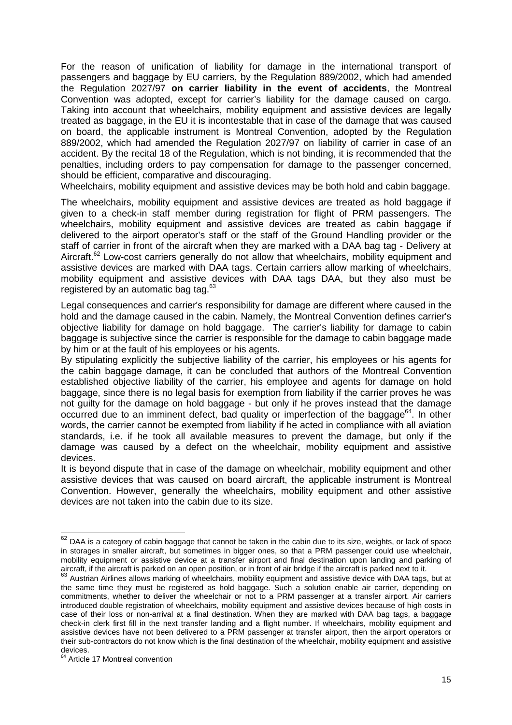For the reason of unification of liability for damage in the international transport of passengers and baggage by EU carriers, by the Regulation 889/2002, which had amended the Regulation 2027/97 **on carrier liability in the event of accidents**, the Montreal Convention was adopted, except for carrier's liability for the damage caused on cargo. Taking into account that wheelchairs, mobility equipment and assistive devices are legally treated as baggage, in the EU it is incontestable that in case of the damage that was caused on board, the applicable instrument is Montreal Convention, adopted by the Regulation 889/2002, which had amended the Regulation 2027/97 on liability of carrier in case of an accident. By the recital 18 of the Regulation, which is not binding, it is recommended that the penalties, including orders to pay compensation for damage to the passenger concerned, should be efficient, comparative and discouraging.

Wheelchairs, mobility equipment and assistive devices may be both hold and cabin baggage.

The wheelchairs, mobility equipment and assistive devices are treated as hold baggage if given to a check-in staff member during registration for flight of PRM passengers. The wheelchairs, mobility equipment and assistive devices are treated as cabin baggage if delivered to the airport operator's staff or the staff of the Ground Handling provider or the staff of carrier in front of the aircraft when they are marked with a DAA bag tag - Delivery at Aircraft.<sup>62</sup> Low-cost carriers generally do not allow that wheelchairs, mobility equipment and assistive devices are marked with DAA tags. Certain carriers allow marking of wheelchairs, mobility equipment and assistive devices with DAA tags DAA, but they also must be registered by an automatic bag tag. $63$ 

Legal consequences and carrier's responsibility for damage are different where caused in the hold and the damage caused in the cabin. Namely, the Montreal Convention defines carrier's objective liability for damage on hold baggage. The carrier's liability for damage to cabin baggage is subjective since the carrier is responsible for the damage to cabin baggage made by him or at the fault of his employees or his agents.

By stipulating explicitly the subjective liability of the carrier, his employees or his agents for the cabin baggage damage, it can be concluded that authors of the Montreal Convention established objective liability of the carrier, his employee and agents for damage on hold baggage, since there is no legal basis for exemption from liability if the carrier proves he was not guilty for the damage on hold baggage - but only if he proves instead that the damage occurred due to an imminent defect, bad quality or imperfection of the baggage<sup>64</sup>. In other words, the carrier cannot be exempted from liability if he acted in compliance with all aviation standards, i.e. if he took all available measures to prevent the damage, but only if the damage was caused by a defect on the wheelchair, mobility equipment and assistive devices.

It is beyond dispute that in case of the damage on wheelchair, mobility equipment and other assistive devices that was caused on board aircraft, the applicable instrument is Montreal Convention. However, generally the wheelchairs, mobility equipment and other assistive devices are not taken into the cabin due to its size.

 $62$  DAA is a category of cabin baggage that cannot be taken in the cabin due to its size, weights, or lack of space in storages in smaller aircraft, but sometimes in bigger ones, so that a PRM passenger could use wheelchair, mobility equipment or assistive device at a transfer airport and final destination upon landing and parking of aircraft, if the aircraft is parked on an open position, or in front of air bridge if the aircraft is parked next to it.

 $63$  Austrian Airlines allows marking of wheelchairs, mobility equipment and assistive device with DAA tags, but at the same time they must be registered as hold baggage. Such a solution enable air carrier, depending on commitments, whether to deliver the wheelchair or not to a PRM passenger at a transfer airport. Air carriers introduced double registration of wheelchairs, mobility equipment and assistive devices because of high costs in case of their loss or non-arrival at a final destination. When they are marked with DAA bag tags, a baggage check-in clerk first fill in the next transfer landing and a flight number. If wheelchairs, mobility equipment and assistive devices have not been delivered to a PRM passenger at transfer airport, then the airport operators or their sub-contractors do not know which is the final destination of the wheelchair, mobility equipment and assistive devices.

<sup>&</sup>lt;sup>64</sup> Article 17 Montreal convention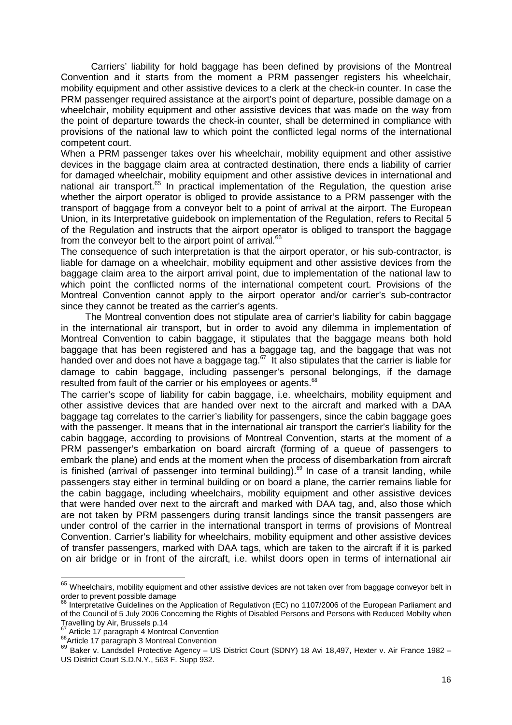Carriers' liability for hold baggage has been defined by provisions of the Montreal Convention and it starts from the moment a PRM passenger registers his wheelchair, mobility equipment and other assistive devices to a clerk at the check-in counter. In case the PRM passenger required assistance at the airport's point of departure, possible damage on a wheelchair, mobility equipment and other assistive devices that was made on the way from the point of departure towards the check-in counter, shall be determined in compliance with provisions of the national law to which point the conflicted legal norms of the international competent court.

When a PRM passenger takes over his wheelchair, mobility equipment and other assistive devices in the baggage claim area at contracted destination, there ends a liability of carrier for damaged wheelchair, mobility equipment and other assistive devices in international and national air transport.<sup>65</sup> In practical implementation of the Regulation, the question arise whether the airport operator is obliged to provide assistance to a PRM passenger with the transport of baggage from a conveyor belt to a point of arrival at the airport. The European Union, in its Interpretative guidebook on implementation of the Regulation, refers to Recital 5 of the Regulation and instructs that the airport operator is obliged to transport the baggage from the conveyor belt to the airport point of arrival.<sup>66</sup>

The consequence of such interpretation is that the airport operator, or his sub-contractor, is liable for damage on a wheelchair, mobility equipment and other assistive devices from the baggage claim area to the airport arrival point, due to implementation of the national law to which point the conflicted norms of the international competent court. Provisions of the Montreal Convention cannot apply to the airport operator and/or carrier's sub-contractor since they cannot be treated as the carrier's agents.

The Montreal convention does not stipulate area of carrier's liability for cabin baggage in the international air transport, but in order to avoid any dilemma in implementation of Montreal Convention to cabin baggage, it stipulates that the baggage means both hold baggage that has been registered and has a baggage tag, and the baggage that was not handed over and does not have a baggage tag. $67$  It also stipulates that the carrier is liable for damage to cabin baggage, including passenger's personal belongings, if the damage resulted from fault of the carrier or his employees or agents.<sup>68</sup>

The carrier's scope of liability for cabin baggage, i.e. wheelchairs, mobility equipment and other assistive devices that are handed over next to the aircraft and marked with a DAA baggage tag correlates to the carrier's liability for passengers, since the cabin baggage goes with the passenger. It means that in the international air transport the carrier's liability for the cabin baggage, according to provisions of Montreal Convention, starts at the moment of a PRM passenger's embarkation on board aircraft (forming of a queue of passengers to embark the plane) and ends at the moment when the process of disembarkation from aircraft is finished (arrival of passenger into terminal building).<sup>69</sup> In case of a transit landing, while passengers stay either in terminal building or on board a plane, the carrier remains liable for the cabin baggage, including wheelchairs, mobility equipment and other assistive devices that were handed over next to the aircraft and marked with DAA tag, and, also those which are not taken by PRM passengers during transit landings since the transit passengers are under control of the carrier in the international transport in terms of provisions of Montreal Convention. Carrier's liability for wheelchairs, mobility equipment and other assistive devices of transfer passengers, marked with DAA tags, which are taken to the aircraft if it is parked on air bridge or in front of the aircraft, i.e. whilst doors open in terms of international air

 $\overline{\phantom{a}}$ 

 $65$  Wheelchairs, mobility equipment and other assistive devices are not taken over from baggage conveyor belt in order to prevent possible damage

Interpretative Guidelines on the Application of Regulativon (EC) no 1107/2006 of the European Parliament and of the Council of 5 July 2006 Concerning the Rights of Disabled Persons and Persons with Reduced Mobilty when Travelling by Air, Brussels p.14

Article 17 paragraph 4 Montreal Convention

<sup>&</sup>lt;sup>68</sup>Article 17 paragraph 3 Montreal Convention

<sup>69</sup> Baker v. Landsdell Protective Agency – US District Court (SDNY) 18 Avi 18,497, Hexter v. Air France 1982 – US District Court S.D.N.Y., 563 F. Supp 932.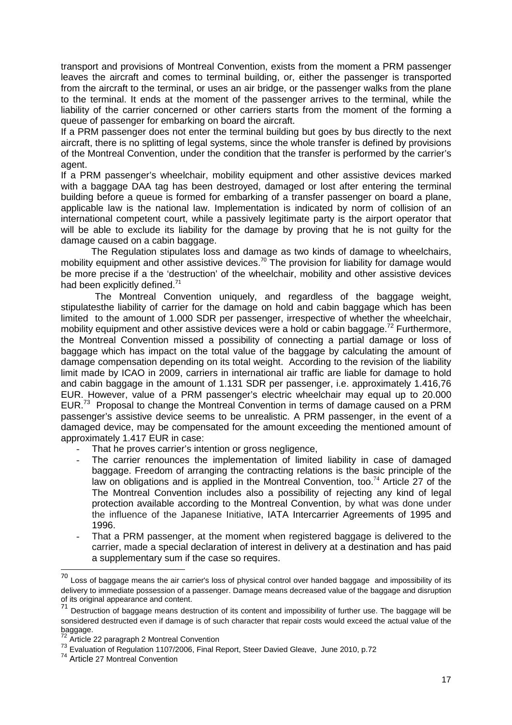transport and provisions of Montreal Convention, exists from the moment a PRM passenger leaves the aircraft and comes to terminal building, or, either the passenger is transported from the aircraft to the terminal, or uses an air bridge, or the passenger walks from the plane to the terminal. It ends at the moment of the passenger arrives to the terminal, while the liability of the carrier concerned or other carriers starts from the moment of the forming a queue of passenger for embarking on board the aircraft.

If a PRM passenger does not enter the terminal building but goes by bus directly to the next aircraft, there is no splitting of legal systems, since the whole transfer is defined by provisions of the Montreal Convention, under the condition that the transfer is performed by the carrier's agent.

If a PRM passenger's wheelchair, mobility equipment and other assistive devices marked with a baggage DAA tag has been destroyed, damaged or lost after entering the terminal building before a queue is formed for embarking of a transfer passenger on board a plane, applicable law is the national law. Implementation is indicated by norm of collision of an international competent court, while a passively legitimate party is the airport operator that will be able to exclude its liability for the damage by proving that he is not guilty for the damage caused on a cabin baggage.

The Regulation stipulates loss and damage as two kinds of damage to wheelchairs, mobility equipment and other assistive devices.<sup>70</sup> The provision for liability for damage would be more precise if a the 'destruction' of the wheelchair, mobility and other assistive devices had been explicitly defined.<sup>71</sup>

 The Montreal Convention uniquely, and regardless of the baggage weight, stipulatesthe liability of carrier for the damage on hold and cabin baggage which has been limited to the amount of 1.000 SDR per passenger, irrespective of whether the wheelchair, mobility equipment and other assistive devices were a hold or cabin baggage.<sup>72</sup> Furthermore, the Montreal Convention missed a possibility of connecting a partial damage or loss of baggage which has impact on the total value of the baggage by calculating the amount of damage compensation depending on its total weight. According to the revision of the liability limit made by ICAO in 2009, carriers in international air traffic are liable for damage to hold and cabin baggage in the amount of 1.131 SDR per passenger, i.e. approximately 1.416,76 EUR. However, value of a PRM passenger's electric wheelchair may equal up to 20.000 EUR.<sup>73</sup> Proposal to change the Montreal Convention in terms of damage caused on a PRM passenger's assistive device seems to be unrealistic. A PRM passenger, in the event of a damaged device, may be compensated for the amount exceeding the mentioned amount of approximately 1.417 EUR in case:

- That he proves carrier's intention or gross negligence,
- The carrier renounces the implementation of limited liability in case of damaged baggage. Freedom of arranging the contracting relations is the basic principle of the law on obligations and is applied in the Montreal Convention, too.<sup>74</sup> Article 27 of the The Montreal Convention includes also a possibility of rejecting any kind of legal protection available according to the Montreal Convention, by what was done under the influence of the Japanese Initiative, IATA Intercarrier Agreements of 1995 and 1996.
- That a PRM passenger, at the moment when registered baggage is delivered to the carrier, made a special declaration of interest in delivery at a destination and has paid a supplementary sum if the case so requires.

l

 $70$  Loss of baggage means the air carrier's loss of physical control over handed baggage and impossibility of its delivery to immediate possession of a passenger. Damage means decreased value of the baggage and disruption of its original appearance and content.

<sup>&</sup>lt;sup>71</sup> Destruction of baggage means destruction of its content and impossibility of further use. The baggage will be sonsidered destructed even if damage is of such character that repair costs would exceed the actual value of the baggage.

<sup>72</sup> Article 22 paragraph 2 Montreal Convention

<sup>73</sup> Evaluation of Regulation 1107/2006, Final Report, Steer Davied Gleave, June 2010, p.72

<sup>74</sup> Article 27 Montreal Convention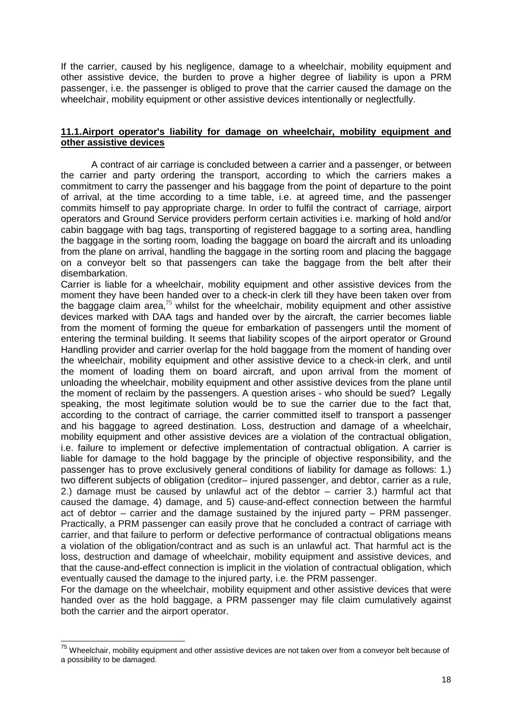If the carrier, caused by his negligence, damage to a wheelchair, mobility equipment and other assistive device, the burden to prove a higher degree of liability is upon a PRM passenger, i.e. the passenger is obliged to prove that the carrier caused the damage on the wheelchair, mobility equipment or other assistive devices intentionally or neglectfully.

#### **11.1.Airport operator's liability for damage on wheelchair, mobility equipment and other assistive devices**

A contract of air carriage is concluded between a carrier and a passenger, or between the carrier and party ordering the transport, according to which the carriers makes a commitment to carry the passenger and his baggage from the point of departure to the point of arrival, at the time according to a time table, i.e. at agreed time, and the passenger commits himself to pay appropriate charge. In order to fulfil the contract of carriage, airport operators and Ground Service providers perform certain activities i.e. marking of hold and/or cabin baggage with bag tags, transporting of registered baggage to a sorting area, handling the baggage in the sorting room, loading the baggage on board the aircraft and its unloading from the plane on arrival, handling the baggage in the sorting room and placing the baggage on a conveyor belt so that passengers can take the baggage from the belt after their disembarkation.

Carrier is liable for a wheelchair, mobility equipment and other assistive devices from the moment they have been handed over to a check-in clerk till they have been taken over from the baggage claim area, $75$  whilst for the wheelchair, mobility equipment and other assistive devices marked with DAA tags and handed over by the aircraft, the carrier becomes liable from the moment of forming the queue for embarkation of passengers until the moment of entering the terminal building. It seems that liability scopes of the airport operator or Ground Handling provider and carrier overlap for the hold baggage from the moment of handing over the wheelchair, mobility equipment and other assistive device to a check-in clerk, and until the moment of loading them on board aircraft, and upon arrival from the moment of unloading the wheelchair, mobility equipment and other assistive devices from the plane until the moment of reclaim by the passengers. A question arises - who should be sued? Legally speaking, the most legitimate solution would be to sue the carrier due to the fact that, according to the contract of carriage, the carrier committed itself to transport a passenger and his baggage to agreed destination. Loss, destruction and damage of a wheelchair, mobility equipment and other assistive devices are a violation of the contractual obligation, i.e. failure to implement or defective implementation of contractual obligation. A carrier is liable for damage to the hold baggage by the principle of objective responsibility, and the passenger has to prove exclusively general conditions of liability for damage as follows: 1.) two different subjects of obligation (creditor– injured passenger, and debtor, carrier as a rule, 2.) damage must be caused by unlawful act of the debtor – carrier 3.) harmful act that caused the damage, 4) damage, and 5) cause-and-effect connection between the harmful act of debtor – carrier and the damage sustained by the injured party – PRM passenger. Practically, a PRM passenger can easily prove that he concluded a contract of carriage with carrier, and that failure to perform or defective performance of contractual obligations means a violation of the obligation/contract and as such is an unlawful act. That harmful act is the loss, destruction and damage of wheelchair, mobility equipment and assistive devices, and that the cause-and-effect connection is implicit in the violation of contractual obligation, which eventually caused the damage to the injured party, i.e. the PRM passenger.

For the damage on the wheelchair, mobility equipment and other assistive devices that were handed over as the hold baggage, a PRM passenger may file claim cumulatively against both the carrier and the airport operator.

 $^{75}$  Wheelchair, mobility equipment and other assistive devices are not taken over from a conveyor belt because of a possibility to be damaged.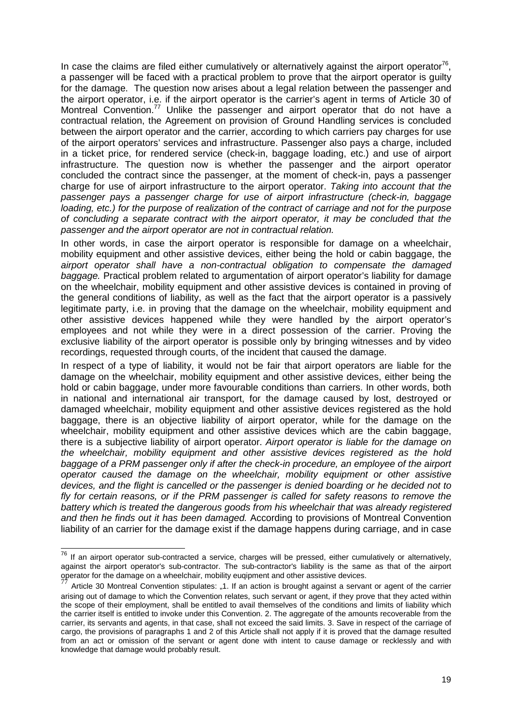In case the claims are filed either cumulatively or alternatively against the airport operator<sup>76</sup>, a passenger will be faced with a practical problem to prove that the airport operator is guilty for the damage. The question now arises about a legal relation between the passenger and the airport operator, i.e. if the airport operator is the carrier's agent in terms of Article 30 of Montreal Convention.<sup>77</sup> Unlike the passenger and airport operator that do not have a contractual relation, the Agreement on provision of Ground Handling services is concluded between the airport operator and the carrier, according to which carriers pay charges for use of the airport operators' services and infrastructure. Passenger also pays a charge, included in a ticket price, for rendered service (check-in, baggage loading, etc.) and use of airport infrastructure. The question now is whether the passenger and the airport operator concluded the contract since the passenger, at the moment of check-in, pays a passenger charge for use of airport infrastructure to the airport operator. Taking into account that the passenger pays a passenger charge for use of airport infrastructure (check-in, baggage loading, etc.) for the purpose of realization of the contract of carriage and not for the purpose of concluding a separate contract with the airport operator, it may be concluded that the passenger and the airport operator are not in contractual relation.

In other words, in case the airport operator is responsible for damage on a wheelchair, mobility equipment and other assistive devices, either being the hold or cabin baggage, the airport operator shall have a non-contractual obligation to compensate the damaged baggage. Practical problem related to argumentation of airport operator's liability for damage on the wheelchair, mobility equipment and other assistive devices is contained in proving of the general conditions of liability, as well as the fact that the airport operator is a passively legitimate party, i.e. in proving that the damage on the wheelchair, mobility equipment and other assistive devices happened while they were handled by the airport operator's employees and not while they were in a direct possession of the carrier. Proving the exclusive liability of the airport operator is possible only by bringing witnesses and by video recordings, requested through courts, of the incident that caused the damage.

In respect of a type of liability, it would not be fair that airport operators are liable for the damage on the wheelchair, mobility equipment and other assistive devices, either being the hold or cabin baggage, under more favourable conditions than carriers. In other words, both in national and international air transport, for the damage caused by lost, destroyed or damaged wheelchair, mobility equipment and other assistive devices registered as the hold baggage, there is an objective liability of airport operator, while for the damage on the wheelchair, mobility equipment and other assistive devices which are the cabin baggage, there is a subjective liability of airport operator. Airport operator is liable for the damage on the wheelchair, mobility equipment and other assistive devices registered as the hold baggage of a PRM passenger only if after the check-in procedure, an employee of the airport operator caused the damage on the wheelchair, mobility equipment or other assistive devices, and the flight is cancelled or the passenger is denied boarding or he decided not to fly for certain reasons, or if the PRM passenger is called for safety reasons to remove the battery which is treated the dangerous goods from his wheelchair that was already registered and then he finds out it has been damaged. According to provisions of Montreal Convention liability of an carrier for the damage exist if the damage happens during carriage, and in case

l

 $^{76}$  If an airport operator sub-contracted a service, charges will be pressed, either cumulatively or alternatively, against the airport operator's sub-contractor. The sub-contractor's liability is the same as that of the airport operator for the damage on a wheelchair, mobility euqipment and other assistive devices.

Article 30 Montreal Convention stipulates: "1. If an action is brought against a servant or agent of the carrier arising out of damage to which the Convention relates, such servant or agent, if they prove that they acted within the scope of their employment, shall be entitled to avail themselves of the conditions and limits of liability which the carrier itself is entitled to invoke under this Convention. 2. The aggregate of the amounts recoverable from the carrier, its servants and agents, in that case, shall not exceed the said limits. 3. Save in respect of the carriage of cargo, the provisions of paragraphs 1 and 2 of this Article shall not apply if it is proved that the damage resulted from an act or omission of the servant or agent done with intent to cause damage or recklessly and with knowledge that damage would probably result.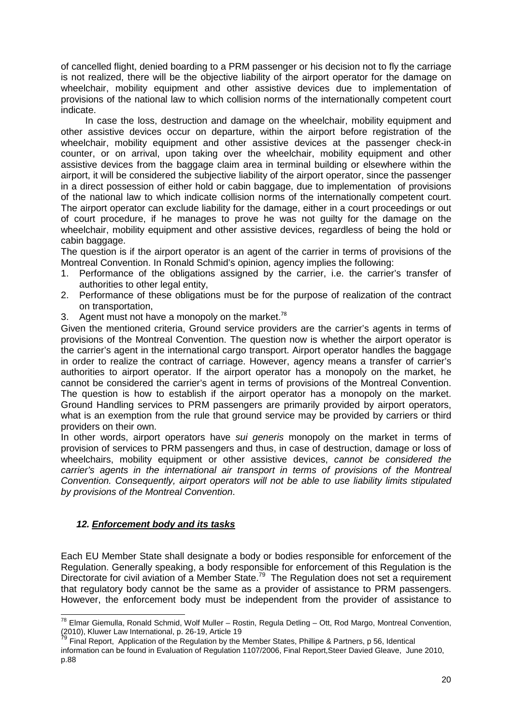of cancelled flight, denied boarding to a PRM passenger or his decision not to fly the carriage is not realized, there will be the objective liability of the airport operator for the damage on wheelchair, mobility equipment and other assistive devices due to implementation of provisions of the national law to which collision norms of the internationally competent court indicate.

In case the loss, destruction and damage on the wheelchair, mobility equipment and other assistive devices occur on departure, within the airport before registration of the wheelchair, mobility equipment and other assistive devices at the passenger check-in counter, or on arrival, upon taking over the wheelchair, mobility equipment and other assistive devices from the baggage claim area in terminal building or elsewhere within the airport, it will be considered the subjective liability of the airport operator, since the passenger in a direct possession of either hold or cabin baggage, due to implementation of provisions of the national law to which indicate collision norms of the internationally competent court. The airport operator can exclude liability for the damage, either in a court proceedings or out of court procedure, if he manages to prove he was not guilty for the damage on the wheelchair, mobility equipment and other assistive devices, regardless of being the hold or cabin baggage.

The question is if the airport operator is an agent of the carrier in terms of provisions of the Montreal Convention. In Ronald Schmid's opinion, agency implies the following:

- 1. Performance of the obligations assigned by the carrier, i.e. the carrier's transfer of authorities to other legal entity,
- 2. Performance of these obligations must be for the purpose of realization of the contract on transportation,
- 3. Agent must not have a monopoly on the market. $78$

Given the mentioned criteria, Ground service providers are the carrier's agents in terms of provisions of the Montreal Convention. The question now is whether the airport operator is the carrier's agent in the international cargo transport. Airport operator handles the baggage in order to realize the contract of carriage. However, agency means a transfer of carrier's authorities to airport operator. If the airport operator has a monopoly on the market, he cannot be considered the carrier's agent in terms of provisions of the Montreal Convention. The question is how to establish if the airport operator has a monopoly on the market. Ground Handling services to PRM passengers are primarily provided by airport operators, what is an exemption from the rule that ground service may be provided by carriers or third providers on their own.

In other words, airport operators have sui generis monopoly on the market in terms of provision of services to PRM passengers and thus, in case of destruction, damage or loss of wheelchairs, mobility equipment or other assistive devices, cannot be considered the carrier's agents in the international air transport in terms of provisions of the Montreal Convention. Consequently, airport operators will not be able to use liability limits stipulated by provisions of the Montreal Convention.

# **12. Enforcement body and its tasks**

 $\overline{a}$ 

Each EU Member State shall designate a body or bodies responsible for enforcement of the Regulation. Generally speaking, a body responsible for enforcement of this Regulation is the Directorate for civil aviation of a Member State.<sup>79</sup> The Regulation does not set a requirement that regulatory body cannot be the same as a provider of assistance to PRM passengers. However, the enforcement body must be independent from the provider of assistance to

<sup>&</sup>lt;sup>78</sup> Elmar Giemulla, Ronald Schmid, Wolf Muller – Rostin, Regula Detling – Ott, Rod Margo, Montreal Convention, (2010), Kluwer Law International, p. 26-19, Article 19<br>
<sup>79</sup> Einel Desertional, p. 26-19, Article 19

Final Report, Application of the Regulation by the Member States, Phillipe & Partners, p 56, Identical

information can be found in Evaluation of Regulation 1107/2006, Final Report,Steer Davied Gleave, June 2010, p.88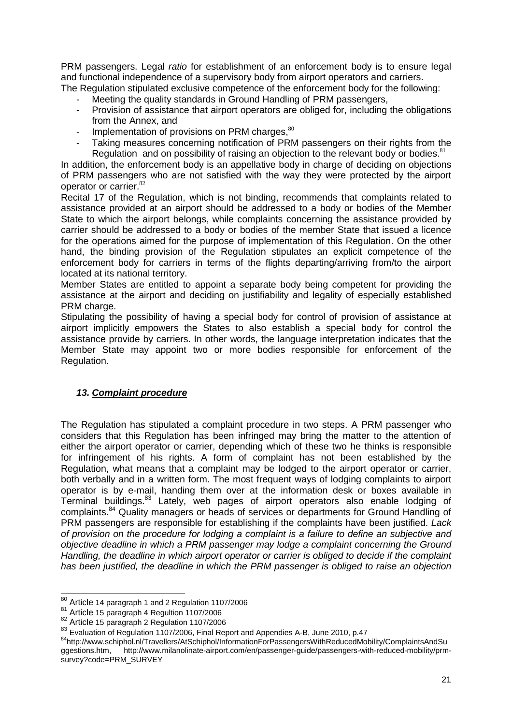PRM passengers. Legal ratio for establishment of an enforcement body is to ensure legal and functional independence of a supervisory body from airport operators and carriers.

The Regulation stipulated exclusive competence of the enforcement body for the following:

- Meeting the quality standards in Ground Handling of PRM passengers,
- Provision of assistance that airport operators are obliged for, including the obligations from the Annex, and
- Implementation of provisions on PRM charges, $80$
- Taking measures concerning notification of PRM passengers on their rights from the Regulation and on possibility of raising an objection to the relevant body or bodies. $81$

In addition, the enforcement body is an appellative body in charge of deciding on objections of PRM passengers who are not satisfied with the way they were protected by the airport operator or carrier.<sup>82</sup>

Recital 17 of the Regulation, which is not binding, recommends that complaints related to assistance provided at an airport should be addressed to a body or bodies of the Member State to which the airport belongs, while complaints concerning the assistance provided by carrier should be addressed to a body or bodies of the member State that issued a licence for the operations aimed for the purpose of implementation of this Regulation. On the other hand, the binding provision of the Regulation stipulates an explicit competence of the enforcement body for carriers in terms of the flights departing/arriving from/to the airport located at its national territory.

Member States are entitled to appoint a separate body being competent for providing the assistance at the airport and deciding on justifiability and legality of especially established PRM charge.

Stipulating the possibility of having a special body for control of provision of assistance at airport implicitly empowers the States to also establish a special body for control the assistance provide by carriers. In other words, the language interpretation indicates that the Member State may appoint two or more bodies responsible for enforcement of the Regulation.

# **13. Complaint procedure**

The Regulation has stipulated a complaint procedure in two steps. A PRM passenger who considers that this Regulation has been infringed may bring the matter to the attention of either the airport operator or carrier, depending which of these two he thinks is responsible for infringement of his rights. A form of complaint has not been established by the Regulation, what means that a complaint may be lodged to the airport operator or carrier, both verbally and in a written form. The most frequent ways of lodging complaints to airport operator is by e-mail, handing them over at the information desk or boxes available in Terminal buildings.<sup>83</sup> Lately, web pages of airport operators also enable lodging of complaints.<sup>84</sup> Quality managers or heads of services or departments for Ground Handling of PRM passengers are responsible for establishing if the complaints have been justified. Lack of provision on the procedure for lodging a complaint is a failure to define an subjective and objective deadline in which a PRM passenger may lodge a complaint concerning the Ground Handling, the deadline in which airport operator or carrier is obliged to decide if the complaint has been justified, the deadline in which the PRM passenger is obliged to raise an objection

 $\overline{a}$  $80$  Article 14 paragraph 1 and 2 Regulation 1107/2006

<sup>81</sup> Article 15 paragraph 4 Regultion 1107/2006

<sup>82</sup> Article 15 paragraph 2 Regulation 1107/2006

<sup>83</sup> Evaluation of Regulation 1107/2006, Final Report and Appendies A-B, June 2010, p.47

<sup>&</sup>lt;sup>84</sup>http://www.schiphol.nl/Travellers/AtSchiphol/InformationForPassengersWithReducedMobility/ComplaintsAndSu ggestions.htm, http://www.milanolinate-airport.com/en/passenger-guide/passengers-with-reduced-mobility/prmsurvey?code=PRM\_SURVEY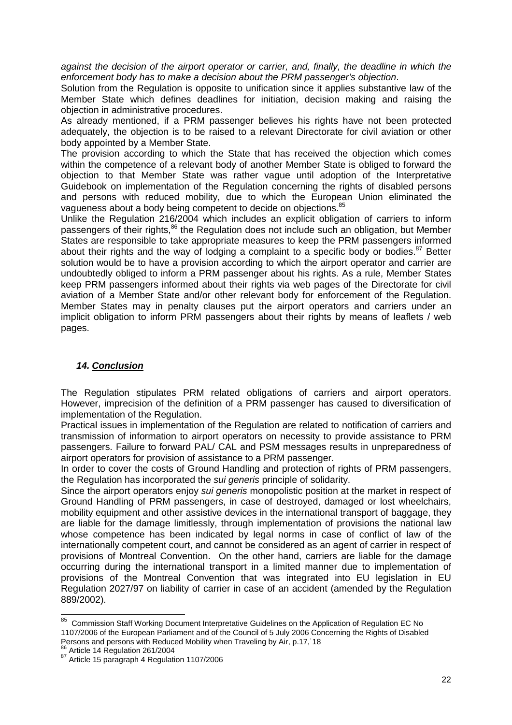against the decision of the airport operator or carrier, and, finally, the deadline in which the enforcement body has to make a decision about the PRM passenger's objection.

Solution from the Regulation is opposite to unification since it applies substantive law of the Member State which defines deadlines for initiation, decision making and raising the objection in administrative procedures.

As already mentioned, if a PRM passenger believes his rights have not been protected adequately, the objection is to be raised to a relevant Directorate for civil aviation or other body appointed by a Member State.

The provision according to which the State that has received the objection which comes within the competence of a relevant body of another Member State is obliged to forward the objection to that Member State was rather vague until adoption of the Interpretative Guidebook on implementation of the Regulation concerning the rights of disabled persons and persons with reduced mobility, due to which the European Union eliminated the vagueness about a body being competent to decide on obiections. 85

Unlike the Regulation 216/2004 which includes an explicit obligation of carriers to inform passengers of their rights,<sup>86</sup> the Regulation does not include such an obligation, but Member States are responsible to take appropriate measures to keep the PRM passengers informed about their rights and the way of lodging a complaint to a specific body or bodies. $87$  Better solution would be to have a provision according to which the airport operator and carrier are undoubtedly obliged to inform a PRM passenger about his rights. As a rule, Member States keep PRM passengers informed about their rights via web pages of the Directorate for civil aviation of a Member State and/or other relevant body for enforcement of the Regulation. Member States may in penalty clauses put the airport operators and carriers under an implicit obligation to inform PRM passengers about their rights by means of leaflets / web pages.

### **14. Conclusion**

The Regulation stipulates PRM related obligations of carriers and airport operators. However, imprecision of the definition of a PRM passenger has caused to diversification of implementation of the Regulation.

Practical issues in implementation of the Regulation are related to notification of carriers and transmission of information to airport operators on necessity to provide assistance to PRM passengers. Failure to forward PAL/ CAL and PSM messages results in unpreparedness of airport operators for provision of assistance to a PRM passenger.

In order to cover the costs of Ground Handling and protection of rights of PRM passengers, the Regulation has incorporated the *sui generis* principle of solidarity.

Since the airport operators enjoy sui generis monopolistic position at the market in respect of Ground Handling of PRM passengers, in case of destroyed, damaged or lost wheelchairs, mobility equipment and other assistive devices in the international transport of baggage, they are liable for the damage limitlessly, through implementation of provisions the national law whose competence has been indicated by legal norms in case of conflict of law of the internationally competent court, and cannot be considered as an agent of carrier in respect of provisions of Montreal Convention. On the other hand, carriers are liable for the damage occurring during the international transport in a limited manner due to implementation of provisions of the Montreal Convention that was integrated into EU legislation in EU Regulation 2027/97 on liability of carrier in case of an accident (amended by the Regulation 889/2002).

 $85$ <sup>85</sup> Commission Staff Working Document Interpretative Guidelines on the Application of Regulation EC No 1107/2006 of the European Parliament and of the Council of 5 July 2006 Concerning the Rights of Disabled Persons and persons with Reduced Mobility when Traveling by Air, p.17, 18

<sup>86</sup> Article 14 Regulation 261/2004

<sup>87</sup> Article 15 paragraph 4 Regulation 1107/2006